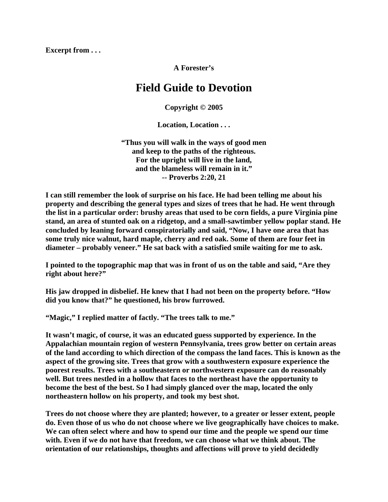**Excerpt from . . .** 

**A Forester's** 

## **Field Guide to Devotion**

**Copyright © 2005** 

**Location, Location . . .** 

**"Thus you will walk in the ways of good men and keep to the paths of the righteous. For the upright will live in the land, and the blameless will remain in it." -- Proverbs 2:20, 21** 

**I can still remember the look of surprise on his face. He had been telling me about his property and describing the general types and sizes of trees that he had. He went through the list in a particular order: brushy areas that used to be corn fields, a pure Virginia pine stand, an area of stunted oak on a ridgetop, and a small-sawtimber yellow poplar stand. He concluded by leaning forward conspiratorially and said, "Now, I have one area that has some truly nice walnut, hard maple, cherry and red oak. Some of them are four feet in diameter – probably veneer." He sat back with a satisfied smile waiting for me to ask.** 

**I pointed to the topographic map that was in front of us on the table and said, "Are they right about here?"** 

**His jaw dropped in disbelief. He knew that I had not been on the property before. "How did you know that?" he questioned, his brow furrowed.** 

**"Magic," I replied matter of factly. "The trees talk to me."** 

**It wasn't magic, of course, it was an educated guess supported by experience. In the Appalachian mountain region of western Pennsylvania, trees grow better on certain areas of the land according to which direction of the compass the land faces. This is known as the aspect of the growing site. Trees that grow with a southwestern exposure experience the poorest results. Trees with a southeastern or northwestern exposure can do reasonably well. But trees nestled in a hollow that faces to the northeast have the opportunity to become the best of the best. So I had simply glanced over the map, located the only northeastern hollow on his property, and took my best shot.** 

**Trees do not choose where they are planted; however, to a greater or lesser extent, people do. Even those of us who do not choose where we live geographically have choices to make. We can often select where and how to spend our time and the people we spend our time with. Even if we do not have that freedom, we can choose what we think about. The orientation of our relationships, thoughts and affections will prove to yield decidedly**